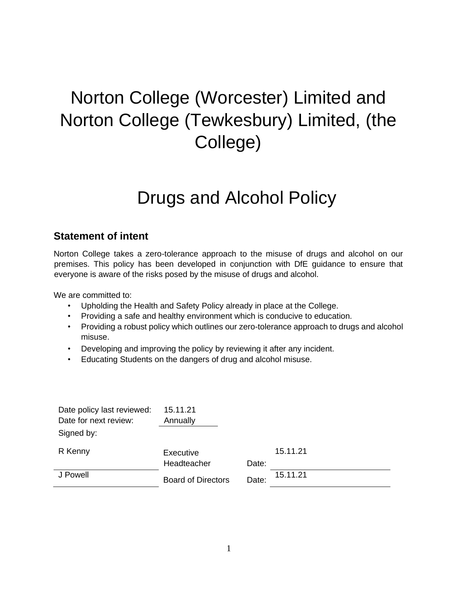# Norton College (Worcester) Limited and Norton College (Tewkesbury) Limited, (the College)

# Drugs and Alcohol Policy

# **Statement of intent**

Norton College takes a zero-tolerance approach to the misuse of drugs and alcohol on our premises. This policy has been developed in conjunction with DfE guidance to ensure that everyone is aware of the risks posed by the misuse of drugs and alcohol.

We are committed to:

- Upholding the Health and Safety Policy already in place at the College.
- Providing a safe and healthy environment which is conducive to education.
- Providing a robust policy which outlines our zero-tolerance approach to drugs and alcohol misuse.
- Developing and improving the policy by reviewing it after any incident.
- Educating Students on the dangers of drug and alcohol misuse.

| Date policy last reviewed: | 15.11.21                  |       |          |
|----------------------------|---------------------------|-------|----------|
| Date for next review:      | Annually                  |       |          |
| Signed by:                 |                           |       |          |
| R Kenny                    | Executive                 |       | 15.11.21 |
|                            | Headteacher               | Date: |          |
| J Powell                   | <b>Board of Directors</b> | Date: | 15.11.21 |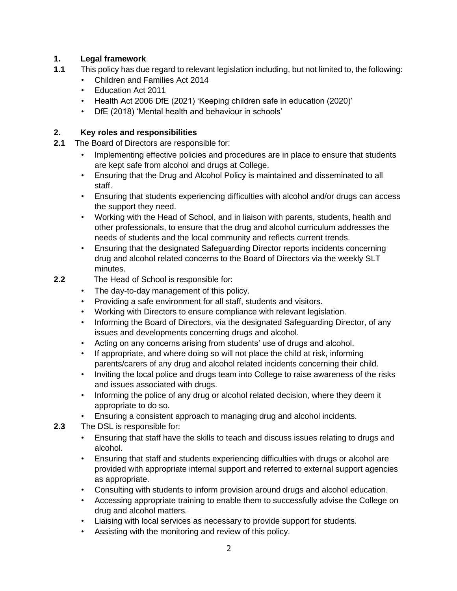#### **1. Legal framework**

- **1.1** This policy has due regard to relevant legislation including, but not limited to, the following:
	- Children and Families Act 2014
	- Education Act 2011
	- Health Act 2006 DfE (2021) 'Keeping children safe in education (2020)'
	- DfE (2018) 'Mental health and behaviour in schools'

#### **2. Key roles and responsibilities**

- **2.1** The Board of Directors are responsible for:
	- Implementing effective policies and procedures are in place to ensure that students are kept safe from alcohol and drugs at College.
	- Ensuring that the Drug and Alcohol Policy is maintained and disseminated to all staff.
	- Ensuring that students experiencing difficulties with alcohol and/or drugs can access the support they need.
	- Working with the Head of School, and in liaison with parents, students, health and other professionals, to ensure that the drug and alcohol curriculum addresses the needs of students and the local community and reflects current trends.
	- Ensuring that the designated Safeguarding Director reports incidents concerning drug and alcohol related concerns to the Board of Directors via the weekly SLT minutes.
- **2.2** The Head of School is responsible for:
	- The day-to-day management of this policy.
	- Providing a safe environment for all staff, students and visitors.
	- Working with Directors to ensure compliance with relevant legislation.
	- Informing the Board of Directors, via the designated Safeguarding Director, of any issues and developments concerning drugs and alcohol.
	- Acting on any concerns arising from students' use of drugs and alcohol.
	- If appropriate, and where doing so will not place the child at risk, informing parents/carers of any drug and alcohol related incidents concerning their child.
	- Inviting the local police and drugs team into College to raise awareness of the risks and issues associated with drugs.
	- Informing the police of any drug or alcohol related decision, where they deem it appropriate to do so.
	- Ensuring a consistent approach to managing drug and alcohol incidents.
- **2.3** The DSL is responsible for:
	- Ensuring that staff have the skills to teach and discuss issues relating to drugs and alcohol.
	- Ensuring that staff and students experiencing difficulties with drugs or alcohol are provided with appropriate internal support and referred to external support agencies as appropriate.
	- Consulting with students to inform provision around drugs and alcohol education.
	- Accessing appropriate training to enable them to successfully advise the College on drug and alcohol matters.
	- Liaising with local services as necessary to provide support for students.
	- Assisting with the monitoring and review of this policy.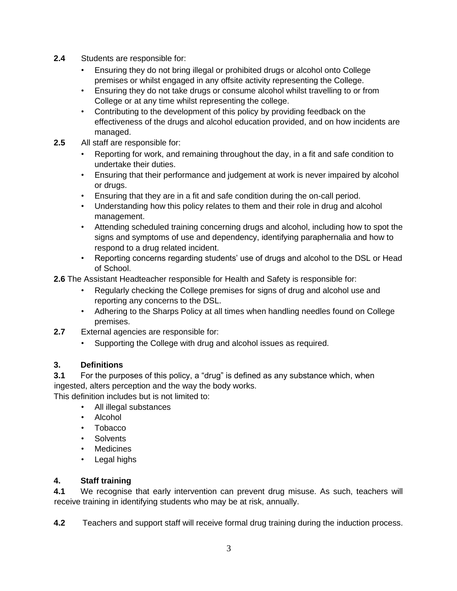- **2.4** Students are responsible for:
	- Ensuring they do not bring illegal or prohibited drugs or alcohol onto College premises or whilst engaged in any offsite activity representing the College.
	- Ensuring they do not take drugs or consume alcohol whilst travelling to or from College or at any time whilst representing the college.
	- Contributing to the development of this policy by providing feedback on the effectiveness of the drugs and alcohol education provided, and on how incidents are managed.
- **2.5** All staff are responsible for:
	- Reporting for work, and remaining throughout the day, in a fit and safe condition to undertake their duties.
	- Ensuring that their performance and judgement at work is never impaired by alcohol or drugs.
	- Ensuring that they are in a fit and safe condition during the on-call period.
	- Understanding how this policy relates to them and their role in drug and alcohol management.
	- Attending scheduled training concerning drugs and alcohol, including how to spot the signs and symptoms of use and dependency, identifying paraphernalia and how to respond to a drug related incident.
	- Reporting concerns regarding students' use of drugs and alcohol to the DSL or Head of School.

**2.6** The Assistant Headteacher responsible for Health and Safety is responsible for:

- Regularly checking the College premises for signs of drug and alcohol use and reporting any concerns to the DSL.
- Adhering to the Sharps Policy at all times when handling needles found on College premises.
- **2.7** External agencies are responsible for:
	- Supporting the College with drug and alcohol issues as required.

#### **3. Definitions**

**3.1** For the purposes of this policy, a "drug" is defined as any substance which, when ingested, alters perception and the way the body works.

This definition includes but is not limited to:

- All illegal substances
- Alcohol
- Tobacco
- Solvents
- Medicines
- Legal highs

#### **4. Staff training**

**4.1** We recognise that early intervention can prevent drug misuse. As such, teachers will receive training in identifying students who may be at risk, annually.

**4.2** Teachers and support staff will receive formal drug training during the induction process.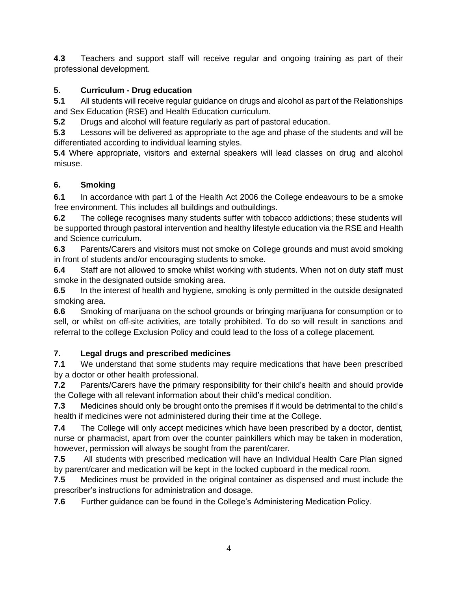**4.3** Teachers and support staff will receive regular and ongoing training as part of their professional development.

#### **5. Curriculum - Drug education**

**5.1** All students will receive regular guidance on drugs and alcohol as part of the Relationships and Sex Education (RSE) and Health Education curriculum.

**5.2** Drugs and alcohol will feature regularly as part of pastoral education.

**5.3** Lessons will be delivered as appropriate to the age and phase of the students and will be differentiated according to individual learning styles.

**5.4** Where appropriate, visitors and external speakers will lead classes on drug and alcohol misuse.

#### **6. Smoking**

**6.1** In accordance with part 1 of the Health Act 2006 the College endeavours to be a smoke free environment. This includes all buildings and outbuildings.

**6.2** The college recognises many students suffer with tobacco addictions; these students will be supported through pastoral intervention and healthy lifestyle education via the RSE and Health and Science curriculum.

**6.3** Parents/Carers and visitors must not smoke on College grounds and must avoid smoking in front of students and/or encouraging students to smoke.

**6.4** Staff are not allowed to smoke whilst working with students. When not on duty staff must smoke in the designated outside smoking area.

**6.5** In the interest of health and hygiene, smoking is only permitted in the outside designated smoking area.

**6.6** Smoking of marijuana on the school grounds or bringing marijuana for consumption or to sell, or whilst on off-site activities, are totally prohibited. To do so will result in sanctions and referral to the college Exclusion Policy and could lead to the loss of a college placement.

#### **7. Legal drugs and prescribed medicines**

**7.1** We understand that some students may require medications that have been prescribed by a doctor or other health professional.

**7.2** Parents/Carers have the primary responsibility for their child's health and should provide the College with all relevant information about their child's medical condition.

**7.3** Medicines should only be brought onto the premises if it would be detrimental to the child's health if medicines were not administered during their time at the College.

**7.4** The College will only accept medicines which have been prescribed by a doctor, dentist, nurse or pharmacist, apart from over the counter painkillers which may be taken in moderation, however, permission will always be sought from the parent/carer.

**7.5** All students with prescribed medication will have an Individual Health Care Plan signed by parent/carer and medication will be kept in the locked cupboard in the medical room.

**7.5** Medicines must be provided in the original container as dispensed and must include the prescriber's instructions for administration and dosage.

**7.6** Further guidance can be found in the College's Administering Medication Policy.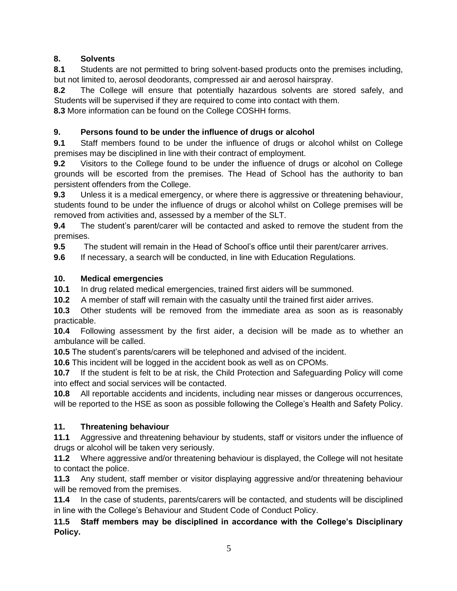#### **8. Solvents**

**8.1** Students are not permitted to bring solvent-based products onto the premises including, but not limited to, aerosol deodorants, compressed air and aerosol hairspray.

**8.2** The College will ensure that potentially hazardous solvents are stored safely, and Students will be supervised if they are required to come into contact with them.

**8.3** More information can be found on the College COSHH forms.

#### **9. Persons found to be under the influence of drugs or alcohol**

**9.1** Staff members found to be under the influence of drugs or alcohol whilst on College premises may be disciplined in line with their contract of employment.

**9.2** Visitors to the College found to be under the influence of drugs or alcohol on College grounds will be escorted from the premises. The Head of School has the authority to ban persistent offenders from the College.

**9.3** Unless it is a medical emergency, or where there is aggressive or threatening behaviour, students found to be under the influence of drugs or alcohol whilst on College premises will be removed from activities and, assessed by a member of the SLT.

**9.4** The student's parent/carer will be contacted and asked to remove the student from the premises.

**9.5** The student will remain in the Head of School's office until their parent/carer arrives.

**9.6** If necessary, a search will be conducted, in line with Education Regulations.

#### **10. Medical emergencies**

**10.1** In drug related medical emergencies, trained first aiders will be summoned.

**10.2** A member of staff will remain with the casualty until the trained first aider arrives.

**10.3** Other students will be removed from the immediate area as soon as is reasonably practicable.

**10.4** Following assessment by the first aider, a decision will be made as to whether an ambulance will be called.

**10.5** The student's parents/carers will be telephoned and advised of the incident.

**10.6** This incident will be logged in the accident book as well as on CPOMs.

**10.7** If the student is felt to be at risk, the Child Protection and Safeguarding Policy will come into effect and social services will be contacted.

**10.8** All reportable accidents and incidents, including near misses or dangerous occurrences, will be reported to the HSE as soon as possible following the College's Health and Safety Policy.

# **11. Threatening behaviour**

**11.1** Aggressive and threatening behaviour by students, staff or visitors under the influence of drugs or alcohol will be taken very seriously.

**11.2** Where aggressive and/or threatening behaviour is displayed, the College will not hesitate to contact the police.

**11.3** Any student, staff member or visitor displaying aggressive and/or threatening behaviour will be removed from the premises.

**11.4** In the case of students, parents/carers will be contacted, and students will be disciplined in line with the College's Behaviour and Student Code of Conduct Policy.

**11.5 Staff members may be disciplined in accordance with the College's Disciplinary Policy.**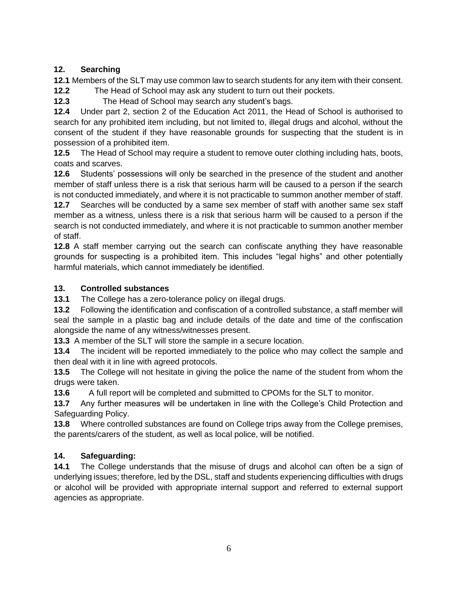#### **12. Searching**

**12.1** Members of the SLT may use common law to search students for any item with their consent.

**12.2** The Head of School may ask any student to turn out their pockets.

**12.3** The Head of School may search any student's bags.

**12.4** Under part 2, section 2 of the Education Act 2011, the Head of School is authorised to search for any prohibited item including, but not limited to, illegal drugs and alcohol, without the consent of the student if they have reasonable grounds for suspecting that the student is in possession of a prohibited item.

**12.5** The Head of School may require a student to remove outer clothing including hats, boots, coats and scarves.

**12.6** Students' possessions will only be searched in the presence of the student and another member of staff unless there is a risk that serious harm will be caused to a person if the search is not conducted immediately, and where it is not practicable to summon another member of staff.

**12.7** Searches will be conducted by a same sex member of staff with another same sex staff member as a witness, unless there is a risk that serious harm will be caused to a person if the search is not conducted immediately, and where it is not practicable to summon another member of staff.

**12.8** A staff member carrying out the search can confiscate anything they have reasonable grounds for suspecting is a prohibited item. This includes "legal highs" and other potentially harmful materials, which cannot immediately be identified.

#### **13. Controlled substances**

**13.1** The College has a zero-tolerance policy on illegal drugs.

**13.2** Following the identification and confiscation of a controlled substance, a staff member will seal the sample in a plastic bag and include details of the date and time of the confiscation alongside the name of any witness/witnesses present.

**13.3** A member of the SLT will store the sample in a secure location.

**13.4** The incident will be reported immediately to the police who may collect the sample and then deal with it in line with agreed protocols.

**13.5** The College will not hesitate in giving the police the name of the student from whom the drugs were taken.

**13.6** A full report will be completed and submitted to CPOMs for the SLT to monitor.

**13.7** Any further measures will be undertaken in line with the College's Child Protection and Safeguarding Policy.

**13.8** Where controlled substances are found on College trips away from the College premises, the parents/carers of the student, as well as local police, will be notified.

# **14. Safeguarding:**

**14.1** The College understands that the misuse of drugs and alcohol can often be a sign of underlying issues; therefore, led by the DSL, staff and students experiencing difficulties with drugs or alcohol will be provided with appropriate internal support and referred to external support agencies as appropriate.